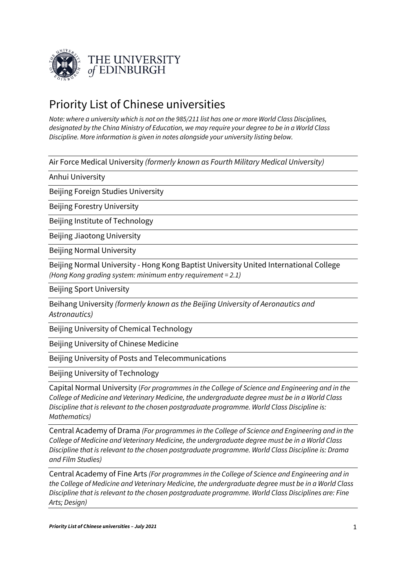

## Priority List of Chinese universities

*Note: where a university which is not on the 985/211 list has one or more World Class Disciplines, designated by the China Ministry of Education, we may require your degree to be in a World Class Discipline. More information is given in notes alongside your university listing below.* 

Air Force Medical University *(formerly known as Fourth Military Medical University)*

Anhui University

Beijing Foreign Studies University

Beijing Forestry University

Beijing Institute of Technology

Beijing Jiaotong University

Beijing Normal University

Beijing Normal University - Hong Kong Baptist University United International College *(Hong Kong grading system: minimum entry requirement = 2.1)*

Beijing Sport University

Beihang University *(formerly known as the Beijing University of Aeronautics and Astronautics)*

Beijing University of Chemical Technology

Beijing University of Chinese Medicine

Beijing University of Posts and Telecommunications

Beijing University of Technology

Capital Normal University (*For programmes in the College of Science and Engineering and in the College of Medicine and Veterinary Medicine, the undergraduate degree must be in a World Class Discipline that is relevant to the chosen postgraduate programme. World Class Discipline is: Mathematics)*

Central Academy of Drama *(For programmes in the College of Science and Engineering and in the College of Medicine and Veterinary Medicine, the undergraduate degree must be in a World Class Discipline that is relevant to the chosen postgraduate programme. World Class Discipline is: Drama and Film Studies)*

Central Academy of Fine Arts *(For programmes in the College of Science and Engineering and in the College of Medicine and Veterinary Medicine, the undergraduate degree must be in a World Class Discipline that is relevant to the chosen postgraduate programme. World Class Disciplines are: Fine Arts; Design)*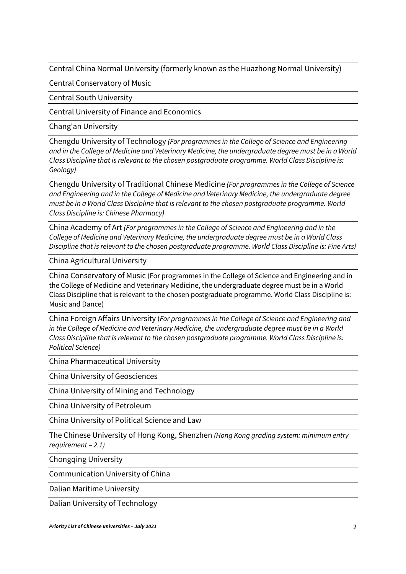Central China Normal University (formerly known as the Huazhong Normal University)

Central Conservatory of Music

Central South University

Central University of Finance and Economics

Chang'an University

Chengdu University of Technology *(For programmes in the College of Science and Engineering and in the College of Medicine and Veterinary Medicine, the undergraduate degree must be in a World Class Discipline that is relevant to the chosen postgraduate programme. World Class Discipline is: Geology)*

Chengdu University of Traditional Chinese Medicine *(For programmes in the College of Science and Engineering and in the College of Medicine and Veterinary Medicine, the undergraduate degree must be in a World Class Discipline that is relevant to the chosen postgraduate programme. World Class Discipline is: Chinese Pharmacy)*

China Academy of Art *(For programmes in the College of Science and Engineering and in the College of Medicine and Veterinary Medicine, the undergraduate degree must be in a World Class Discipline that is relevant to the chosen postgraduate programme. World Class Discipline is: Fine Arts)*

China Agricultural University

China Conservatory of Music (For programmes in the College of Science and Engineering and in the College of Medicine and Veterinary Medicine, the undergraduate degree must be in a World Class Discipline that is relevant to the chosen postgraduate programme. World Class Discipline is: Music and Dance)

China Foreign Affairs University (*For programmes in the College of Science and Engineering and in the College of Medicine and Veterinary Medicine, the undergraduate degree must be in a World Class Discipline that is relevant to the chosen postgraduate programme. World Class Discipline is: Political Science)*

China Pharmaceutical University

China University of Geosciences

China University of Mining and Technology

China University of Petroleum

China University of Political Science and Law

The Chinese University of Hong Kong, Shenzhen *(Hong Kong grading system: minimum entry requirement = 2.1)*

Chongqing University

Communication University of China

Dalian Maritime University

Dalian University of Technology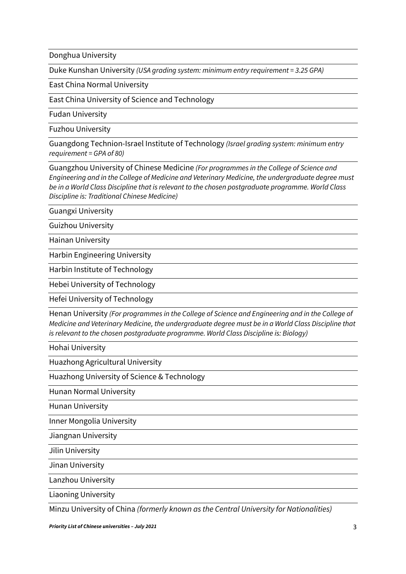Donghua University

Duke Kunshan University *(USA grading system: minimum entry requirement = 3.25 GPA)*

East China Normal University

East China University of Science and Technology

Fudan University

Fuzhou University

Guangdong Technion-Israel Institute of Technology *(Israel grading system: minimum entry requirement = GPA of 80)*

Guangzhou University of Chinese Medicine *(For programmes in the College of Science and Engineering and in the College of Medicine and Veterinary Medicine, the undergraduate degree must be in a World Class Discipline that is relevant to the chosen postgraduate programme. World Class Discipline is: Traditional Chinese Medicine)*

Guangxi University

Guizhou University

Hainan University

Harbin Engineering University

Harbin Institute of Technology

Hebei University of Technology

Hefei University of Technology

Henan University *(For programmes in the College of Science and Engineering and in the College of Medicine and Veterinary Medicine, the undergraduate degree must be in a World Class Discipline that is relevant to the chosen postgraduate programme. World Class Discipline is: Biology)*

Hohai University

Huazhong Agricultural University

Huazhong University of Science & Technology

Hunan Normal University

Hunan University

Inner Mongolia University

Jiangnan University

Jilin University

Jinan University

Lanzhou University

Liaoning University

Minzu University of China *(formerly known as the Central University for Nationalities)*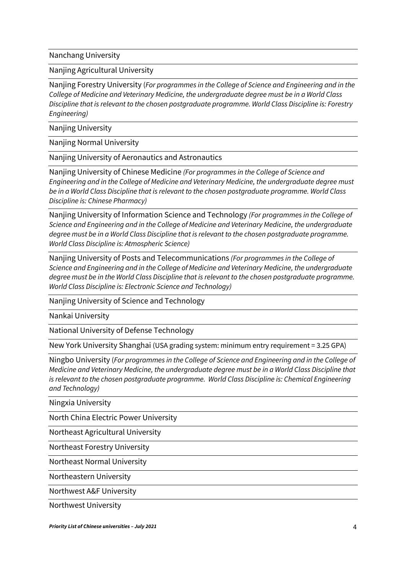Nanchang University

Nanjing Agricultural University

Nanjing Forestry University (*For programmes in the College of Science and Engineering and in the College of Medicine and Veterinary Medicine, the undergraduate degree must be in a World Class Discipline that is relevant to the chosen postgraduate programme. World Class Discipline is: Forestry Engineering)*

Nanjing University

Nanjing Normal University

Nanjing University of Aeronautics and Astronautics

Nanjing University of Chinese Medicine *(For programmes in the College of Science and Engineering and in the College of Medicine and Veterinary Medicine, the undergraduate degree must be in a World Class Discipline that is relevant to the chosen postgraduate programme. World Class Discipline is: Chinese Pharmacy)*

Nanjing University of Information Science and Technology *(For programmes in the College of Science and Engineering and in the College of Medicine and Veterinary Medicine, the undergraduate degree must be in a World Class Discipline that is relevant to the chosen postgraduate programme. World Class Discipline is: Atmospheric Science)*

Nanjing University of Posts and Telecommunications *(For programmes in the College of Science and Engineering and in the College of Medicine and Veterinary Medicine, the undergraduate degree must be in the World Class Discipline that is relevant to the chosen postgraduate programme. World Class Discipline is: Electronic Science and Technology)*

Nanjing University of Science and Technology

Nankai University

National University of Defense Technology

New York University Shanghai (USA grading system: minimum entry requirement = 3.25 GPA)

Ningbo University (*For programmes in the College of Science and Engineering and in the College of Medicine and Veterinary Medicine, the undergraduate degree must be in a World Class Discipline that is relevant to the chosen postgraduate programme. World Class Discipline is: Chemical Engineering and Technology)*

Ningxia University

North China Electric Power University

Northeast Agricultural University

Northeast Forestry University

Northeast Normal University

Northeastern University

Northwest A&F University

Northwest University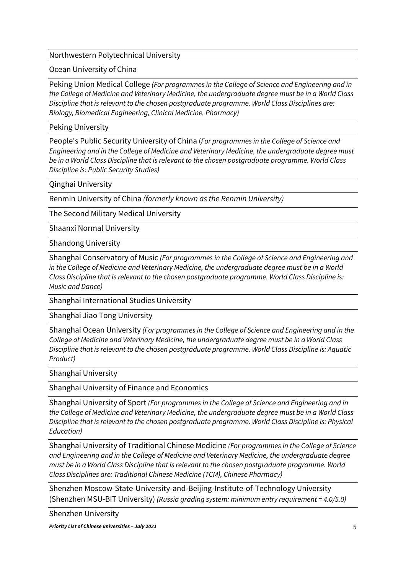## Northwestern Polytechnical University

## Ocean University of China

Peking Union Medical College *(For programmes in the College of Science and Engineering and in the College of Medicine and Veterinary Medicine, the undergraduate degree must be in a World Class Discipline that is relevant to the chosen postgraduate programme. World Class Disciplines are: Biology, Biomedical Engineering, Clinical Medicine, Pharmacy)*

## Peking University

People's Public Security University of China (*For programmes in the College of Science and Engineering and in the College of Medicine and Veterinary Medicine, the undergraduate degree must be in a World Class Discipline that is relevant to the chosen postgraduate programme. World Class Discipline is: Public Security Studies)*

Qinghai University

Renmin University of China *(formerly known as the Renmin University)*

The Second Military Medical University

Shaanxi Normal University

Shandong University

Shanghai Conservatory of Music *(For programmes in the College of Science and Engineering and in the College of Medicine and Veterinary Medicine, the undergraduate degree must be in a World Class Discipline that is relevant to the chosen postgraduate programme. World Class Discipline is: Music and Dance)*

Shanghai International Studies University

Shanghai Jiao Tong University

Shanghai Ocean University *(For programmes in the College of Science and Engineering and in the College of Medicine and Veterinary Medicine, the undergraduate degree must be in a World Class Discipline that is relevant to the chosen postgraduate programme. World Class Discipline is: Aquatic Product)*

Shanghai University

Shanghai University of Finance and Economics

Shanghai University of Sport *(For programmes in the College of Science and Engineering and in the College of Medicine and Veterinary Medicine, the undergraduate degree must be in a World Class Discipline that is relevant to the chosen postgraduate programme. World Class Discipline is: Physical Education)*

Shanghai University of Traditional Chinese Medicine *(For programmes in the College of Science and Engineering and in the College of Medicine and Veterinary Medicine, the undergraduate degree must be in a World Class Discipline that is relevant to the chosen postgraduate programme. World Class Disciplines are: Traditional Chinese Medicine (TCM), Chinese Pharmacy)*

Shenzhen Moscow-State-University-and-Beijing-Institute-of-Technology University (Shenzhen MSU-BIT University) *(Russia grading system: minimum entry requirement = 4.0/5.0)*

Shenzhen University

*Priority List of Chinese universities – July 2021* 5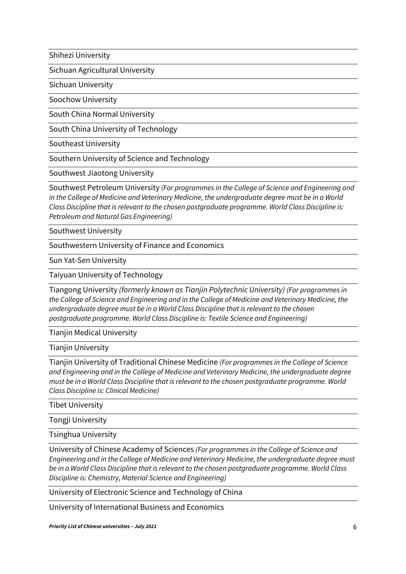Shihezi University

Sichuan Agricultural University

Sichuan University

Soochow University

South China Normal University

South China University of Technology

Southeast University

Southern University of Science and Technology

Southwest Jiaotong University

Southwest Petroleum University *(For programmes in the College of Science and Engineering and in the College of Medicine and Veterinary Medicine, the undergraduate degree must be in a World Class Discipline that is relevant to the chosen postgraduate programme. World Class Discipline is: Petroleum and Natural Gas Engineering)*

Southwest University

Southwestern University of Finance and Economics

Sun Yat-Sen University

Taiyuan University of Technology

Tiangong University *(formerly known as Tianjin Polytechnic University) (For programmes in the College of Science and Engineering and in the College of Medicine and Veterinary Medicine, the undergraduate degree must be in a World Class Discipline that is relevant to the chosen postgraduate programme. World Class Discipline is: Textile Science and Engineering)*

**Tianjin Medical University** 

Tianjin University

Tianjin University of Traditional Chinese Medicine *(For programmes in the College of Science and Engineering and in the College of Medicine and Veterinary Medicine, the undergraduate degree must be in a World Class Discipline that is relevant to the chosen postgraduate programme. World Class Discipline is: Clinical Medicine)*

Tibet University

Tongji University

Tsinghua University

University of Chinese Academy of Sciences *(For programmes in the College of Science and Engineering and in the College of Medicine and Veterinary Medicine, the undergraduate degree must be in a World Class Discipline that is relevant to the chosen postgraduate programme. World Class Discipline is: Chemistry, Material Science and Engineering)*

University of Electronic Science and Technology of China

University of International Business and Economics